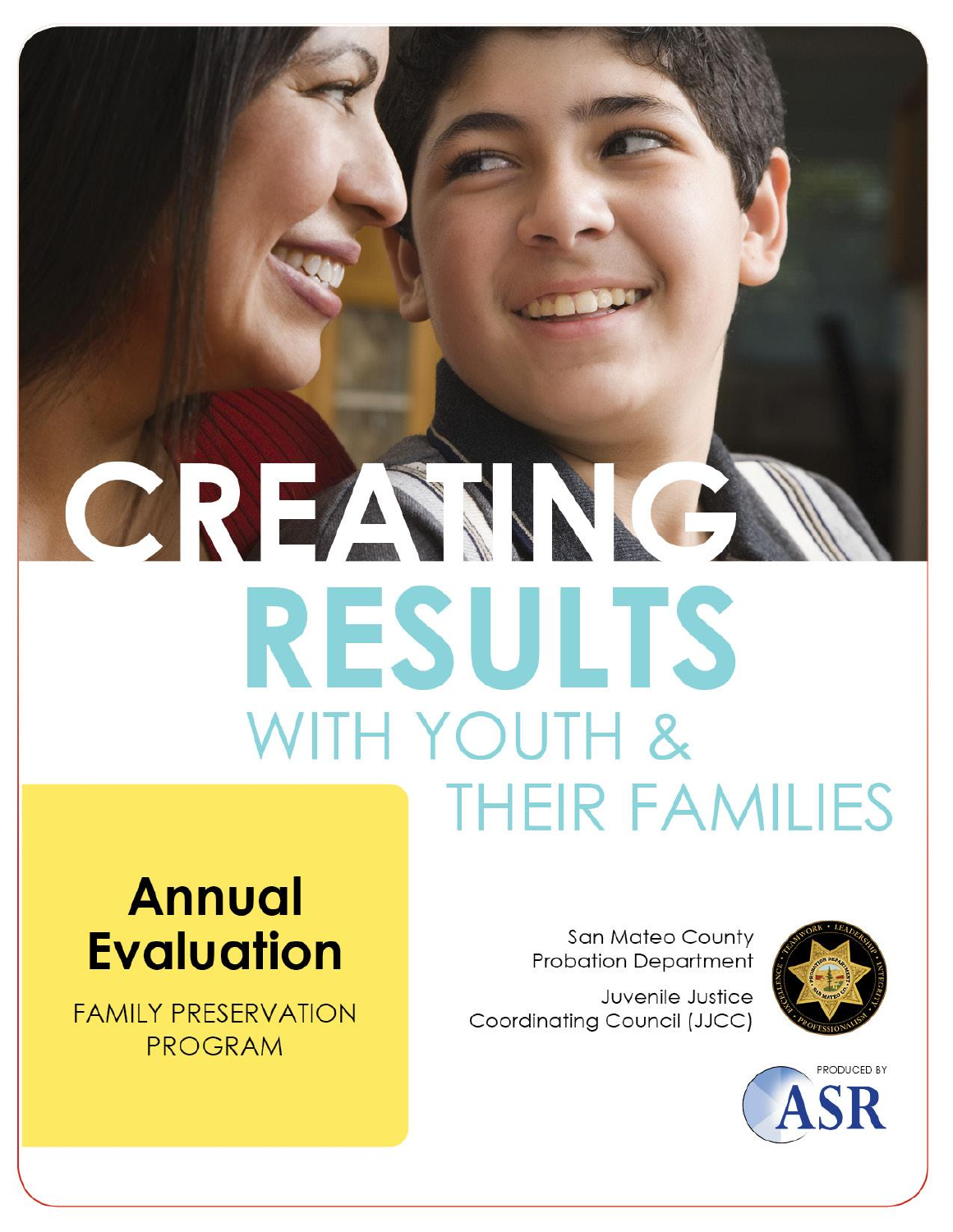# CREASING **RESULTS** WITH YOUTH & **THEIR FAMILIES**

## **Annual Evaluation**

**FAMILY PRESERVATION PROGRAM** 

San Mateo County **Probation Department** 

Juvenile Justice Coordinating Council (JJCC)



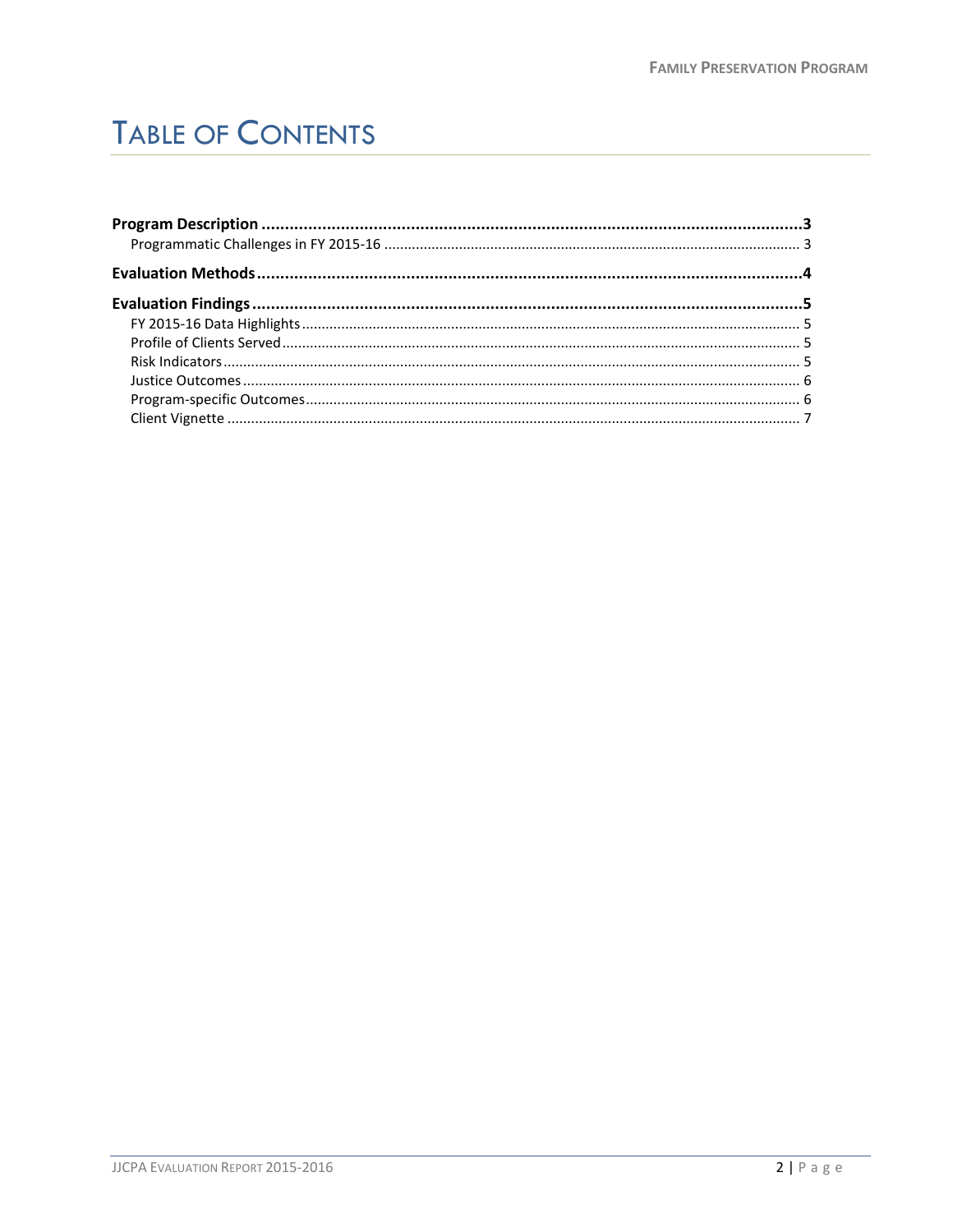## **TABLE OF CONTENTS**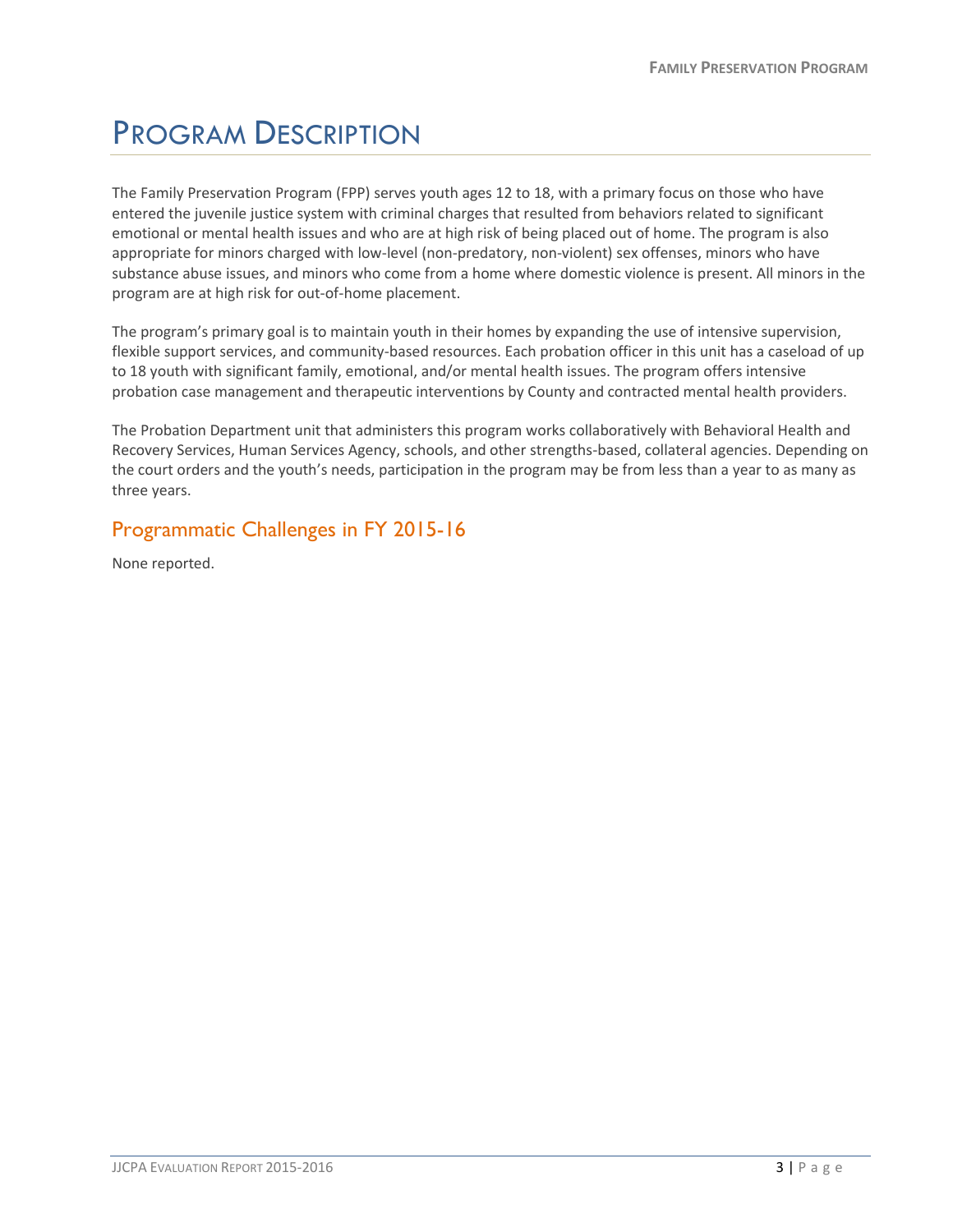## <span id="page-2-0"></span>PROGRAM DESCRIPTION

The Family Preservation Program (FPP) serves youth ages 12 to 18, with a primary focus on those who have entered the juvenile justice system with criminal charges that resulted from behaviors related to significant emotional or mental health issues and who are at high risk of being placed out of home. The program is also appropriate for minors charged with low-level (non-predatory, non-violent) sex offenses, minors who have substance abuse issues, and minors who come from a home where domestic violence is present. All minors in the program are at high risk for out-of-home placement.

The program's primary goal is to maintain youth in their homes by expanding the use of intensive supervision, flexible support services, and community-based resources. Each probation officer in this unit has a caseload of up to 18 youth with significant family, emotional, and/or mental health issues. The program offers intensive probation case management and therapeutic interventions by County and contracted mental health providers.

The Probation Department unit that administers this program works collaboratively with Behavioral Health and Recovery Services, Human Services Agency, schools, and other strengths-based, collateral agencies. Depending on the court orders and the youth's needs, participation in the program may be from less than a year to as many as three years.

#### <span id="page-2-1"></span>Programmatic Challenges in FY 2015-16

None reported.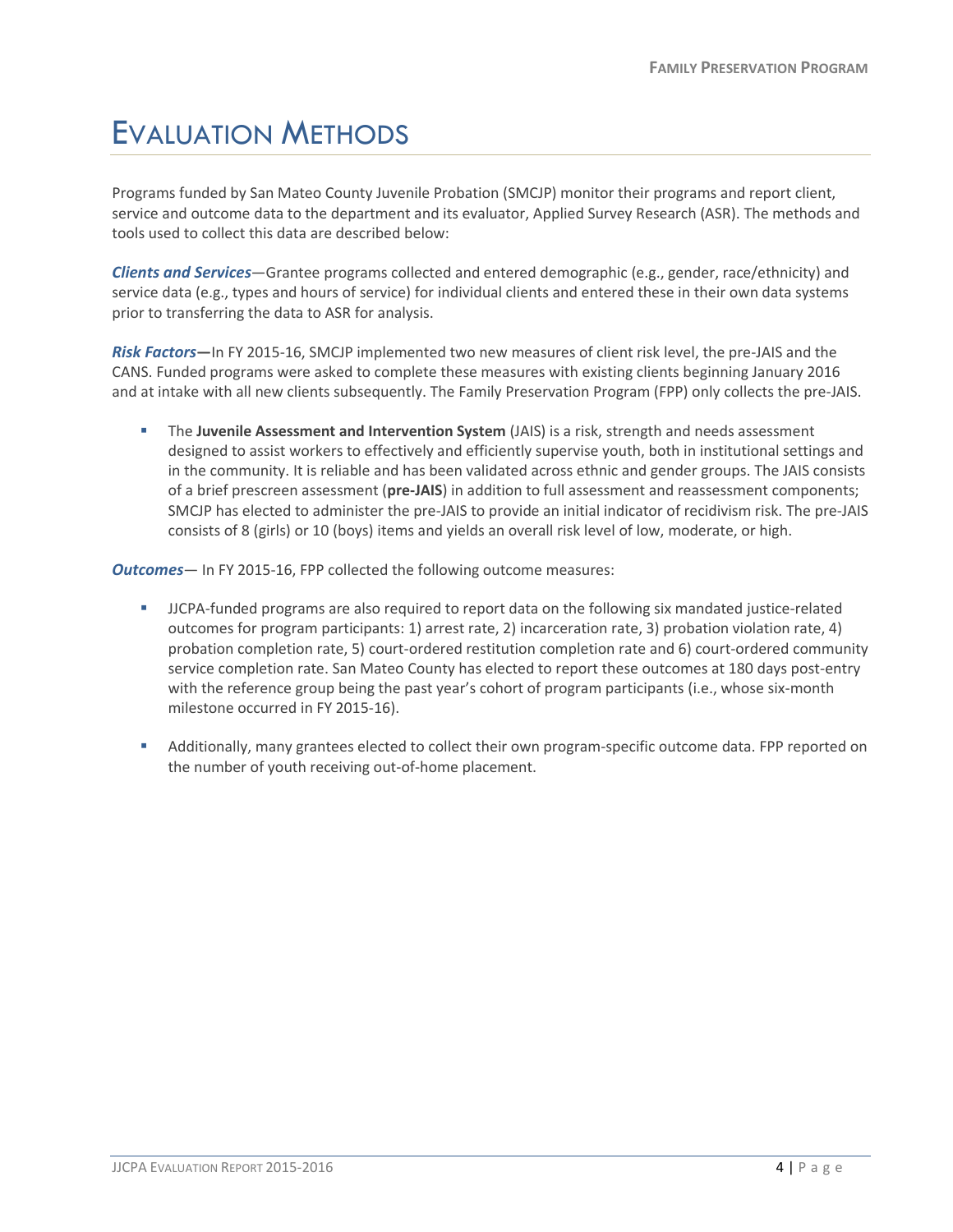### <span id="page-3-0"></span>EVALUATION METHODS

Programs funded by San Mateo County Juvenile Probation (SMCJP) monitor their programs and report client, service and outcome data to the department and its evaluator, Applied Survey Research (ASR). The methods and tools used to collect this data are described below:

*Clients and Services*—Grantee programs collected and entered demographic (e.g., gender, race/ethnicity) and service data (e.g., types and hours of service) for individual clients and entered these in their own data systems prior to transferring the data to ASR for analysis.

*Risk Factors***—**In FY 2015-16, SMCJP implemented two new measures of client risk level, the pre-JAIS and the CANS. Funded programs were asked to complete these measures with existing clients beginning January 2016 and at intake with all new clients subsequently. The Family Preservation Program (FPP) only collects the pre-JAIS.

 The **Juvenile Assessment and Intervention System** (JAIS) is a risk, strength and needs assessment designed to assist workers to effectively and efficiently supervise youth, both in institutional settings and in the community. It is reliable and has been validated across ethnic and gender groups. The JAIS consists of a brief prescreen assessment (**pre-JAIS**) in addition to full assessment and reassessment components; SMCJP has elected to administer the pre-JAIS to provide an initial indicator of recidivism risk. The pre-JAIS consists of 8 (girls) or 10 (boys) items and yields an overall risk level of low, moderate, or high.

*Outcomes*— In FY 2015-16, FPP collected the following outcome measures:

- JJCPA-funded programs are also required to report data on the following six mandated justice-related outcomes for program participants: 1) arrest rate, 2) incarceration rate, 3) probation violation rate, 4) probation completion rate, 5) court-ordered restitution completion rate and 6) court-ordered community service completion rate. San Mateo County has elected to report these outcomes at 180 days post-entry with the reference group being the past year's cohort of program participants (i.e., whose six-month milestone occurred in FY 2015-16).
- Additionally, many grantees elected to collect their own program-specific outcome data. FPP reported on the number of youth receiving out-of-home placement.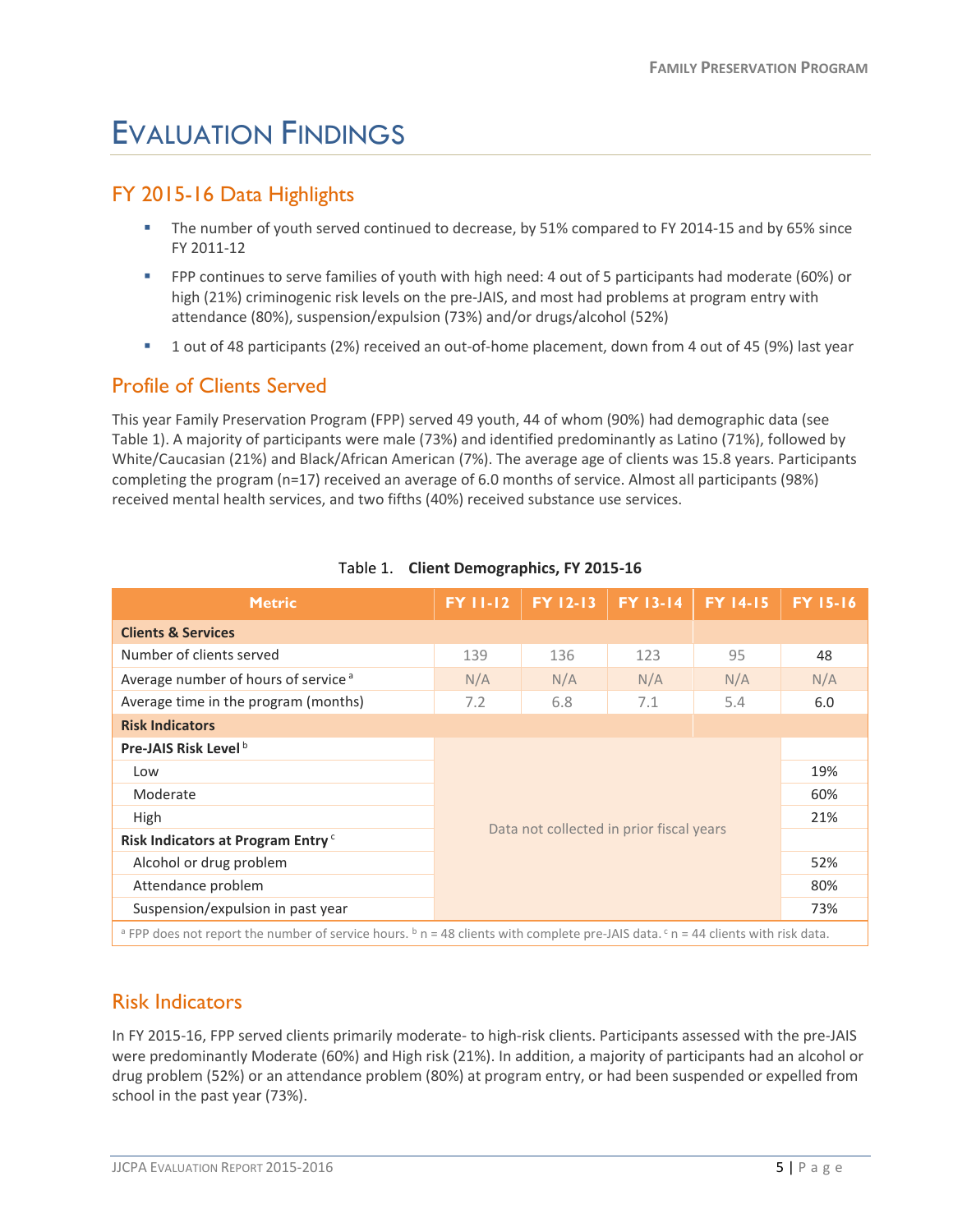## <span id="page-4-0"></span>EVALUATION FINDINGS

#### <span id="page-4-1"></span>FY 2015-16 Data Highlights

- The number of youth served continued to decrease, by 51% compared to FY 2014-15 and by 65% since FY 2011-12
- FPP continues to serve families of youth with high need: 4 out of 5 participants had moderate (60%) or high (21%) criminogenic risk levels on the pre-JAIS, and most had problems at program entry with attendance (80%), suspension/expulsion (73%) and/or drugs/alcohol (52%)
- 1 out of 48 participants (2%) received an out-of-home placement, down from 4 out of 45 (9%) last year

#### <span id="page-4-2"></span>Profile of Clients Served

This year Family Preservation Program (FPP) served 49 youth, 44 of whom (90%) had demographic data (see Table 1). A majority of participants were male (73%) and identified predominantly as Latino (71%), followed by White/Caucasian (21%) and Black/African American (7%). The average age of clients was 15.8 years. Participants completing the program (n=17) received an average of 6.0 months of service. Almost all participants (98%) received mental health services, and two fifths (40%) received substance use services.

| <b>Metric</b>                                                                                                                                                    | <b>FY 11-12</b>                          | <b>FY 12-13</b> | <b>FY 13-14</b> | <b>FY 14-15</b> | <b>FY 15-16</b> |  |
|------------------------------------------------------------------------------------------------------------------------------------------------------------------|------------------------------------------|-----------------|-----------------|-----------------|-----------------|--|
| <b>Clients &amp; Services</b>                                                                                                                                    |                                          |                 |                 |                 |                 |  |
| Number of clients served                                                                                                                                         | 139                                      | 136             | 123             | 95              | 48              |  |
| Average number of hours of service <sup>a</sup>                                                                                                                  | N/A                                      | N/A             | N/A             | N/A             | N/A             |  |
| Average time in the program (months)                                                                                                                             | 7.2                                      | 6.8             | 7.1             | 5.4             | 6.0             |  |
| <b>Risk Indicators</b>                                                                                                                                           |                                          |                 |                 |                 |                 |  |
| Pre-JAIS Risk Level <sup>b</sup>                                                                                                                                 |                                          |                 |                 |                 |                 |  |
| Low                                                                                                                                                              |                                          |                 |                 |                 | 19%             |  |
| Moderate                                                                                                                                                         |                                          |                 |                 |                 | 60%             |  |
| High                                                                                                                                                             |                                          |                 |                 | 21%             |                 |  |
| Risk Indicators at Program Entry <sup>c</sup>                                                                                                                    | Data not collected in prior fiscal years |                 |                 |                 |                 |  |
| Alcohol or drug problem                                                                                                                                          | 52%<br>80%                               |                 |                 |                 |                 |  |
| Attendance problem                                                                                                                                               |                                          |                 |                 |                 |                 |  |
| Suspension/expulsion in past year                                                                                                                                |                                          |                 |                 |                 | 73%             |  |
| <sup>a</sup> FPP does not report the number of service hours. $\frac{b}{n}$ = 48 clients with complete pre-JAIS data. $\frac{c}{n}$ = 44 clients with risk data. |                                          |                 |                 |                 |                 |  |

#### Table 1. **Client Demographics, FY 2015-16**

#### <span id="page-4-3"></span>Risk Indicators

In FY 2015-16, FPP served clients primarily moderate- to high-risk clients. Participants assessed with the pre-JAIS were predominantly Moderate (60%) and High risk (21%). In addition, a majority of participants had an alcohol or drug problem (52%) or an attendance problem (80%) at program entry, or had been suspended or expelled from school in the past year (73%).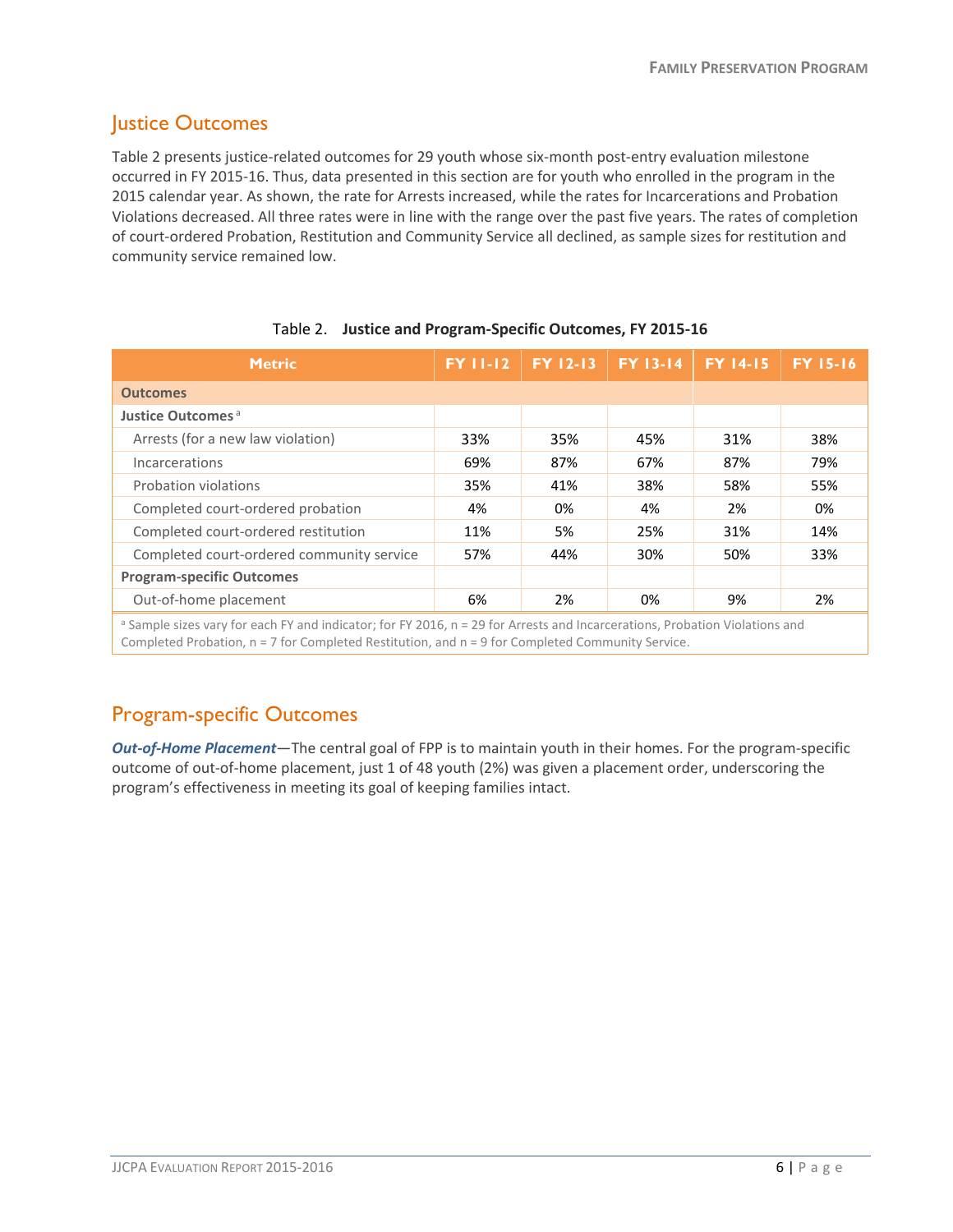#### Justice Outcomes

Table 2 presents justice-related outcomes for 29 youth whose six-month post-entry evaluation milestone occurred in FY 2015-16. Thus, data presented in this section are for youth who enrolled in the program in the 2015 calendar year. As shown, the rate for Arrests increased, while the rates for Incarcerations and Probation Violations decreased. All three rates were in line with the range over the past five years. The rates of completion of court-ordered Probation, Restitution and Community Service all declined, as sample sizes for restitution and community service remained low.

| <b>Metric</b>                                                                                                                          | <b>FY 11-12</b> | <b>FY 12-13</b> | <b>FY 13-14</b> | <b>FY 14-15</b> | <b>FY 15-16</b> |
|----------------------------------------------------------------------------------------------------------------------------------------|-----------------|-----------------|-----------------|-----------------|-----------------|
| <b>Outcomes</b>                                                                                                                        |                 |                 |                 |                 |                 |
| Justice Outcomes <sup>a</sup>                                                                                                          |                 |                 |                 |                 |                 |
| Arrests (for a new law violation)                                                                                                      | 33%             | 35%             | 45%             | 31%             | 38%             |
| Incarcerations                                                                                                                         | 69%             | 87%             | 67%             | 87%             | 79%             |
| Probation violations                                                                                                                   | 35%             | 41%             | 38%             | 58%             | 55%             |
| Completed court-ordered probation                                                                                                      | 4%              | 0%              | 4%              | 2%              | 0%              |
| Completed court-ordered restitution                                                                                                    | 11%             | 5%              | 25%             | 31%             | 14%             |
| Completed court-ordered community service                                                                                              | 57%             | 44%             | 30%             | 50%             | 33%             |
| <b>Program-specific Outcomes</b>                                                                                                       |                 |                 |                 |                 |                 |
| Out-of-home placement                                                                                                                  | 6%              | 2%              | 0%              | 9%              | 2%              |
| <sup>a</sup> Sample sizes vary for each FY and indicator; for FY 2016, n = 29 for Arrests and Incarcerations, Probation Violations and |                 |                 |                 |                 |                 |

#### Table 2. **Justice and Program-Specific Outcomes, FY 2015-16**

Completed Probation, n = 7 for Completed Restitution, and n = 9 for Completed Community Service.

#### <span id="page-5-0"></span>Program-specific Outcomes

<span id="page-5-1"></span>*Out-of-Home Placement*—The central goal of FPP is to maintain youth in their homes. For the program-specific outcome of out-of-home placement, just 1 of 48 youth (2%) was given a placement order, underscoring the program's effectiveness in meeting its goal of keeping families intact.